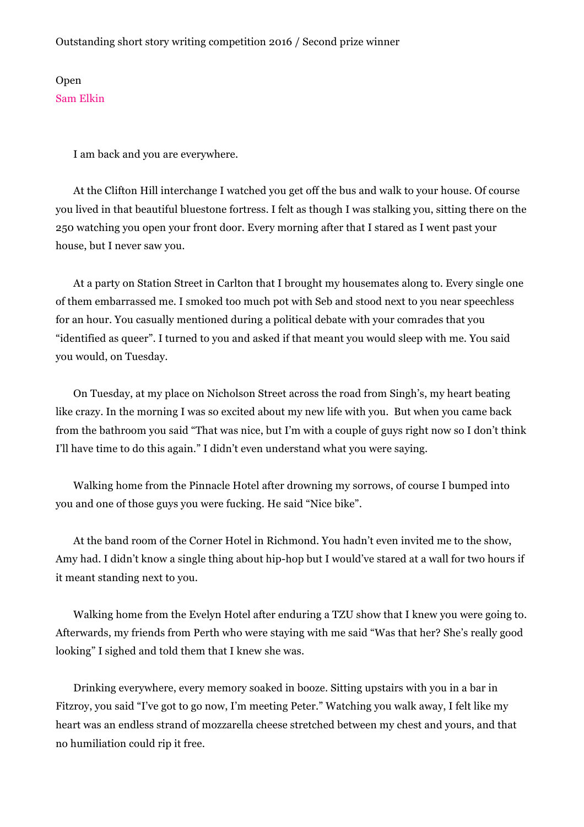Outstanding short story writing competition 2016 / Second prize winner

Open Sam Elkin

I am back and you are everywhere.

At the Clifton Hill interchange I watched you get off the bus and walk to your house. Of course you lived in that beautiful bluestone fortress. I felt as though I was stalking you, sitting there on the 250 watching you open your front door. Every morning after that I stared as I went past your house, but I never saw you.

At a party on Station Street in Carlton that I brought my housemates along to. Every single one of them embarrassed me. I smoked too much pot with Seb and stood next to you near speechless for an hour. You casually mentioned during a political debate with your comrades that you "identified as queer". I turned to you and asked if that meant you would sleep with me. You said you would, on Tuesday.

On Tuesday, at my place on Nicholson Street across the road from Singh's, my heart beating like crazy. In the morning I was so excited about my new life with you. But when you came back from the bathroom you said "That was nice, but I'm with a couple of guys right now so I don't think I'll have time to do this again." I didn't even understand what you were saying.

Walking home from the Pinnacle Hotel after drowning my sorrows, of course I bumped into you and one of those guys you were fucking. He said "Nice bike".

At the band room of the Corner Hotel in Richmond. You hadn't even invited me to the show, Amy had. I didn't know a single thing about hip-hop but I would've stared at a wall for two hours if it meant standing next to you.

Walking home from the Evelyn Hotel after enduring a TZU show that I knew you were going to. Afterwards, my friends from Perth who were staying with me said "Was that her? She's really good looking" I sighed and told them that I knew she was.

Drinking everywhere, every memory soaked in booze. Sitting upstairs with you in a bar in Fitzroy, you said "I've got to go now, I'm meeting Peter." Watching you walk away, I felt like my heart was an endless strand of mozzarella cheese stretched between my chest and yours, and that no humiliation could rip it free.